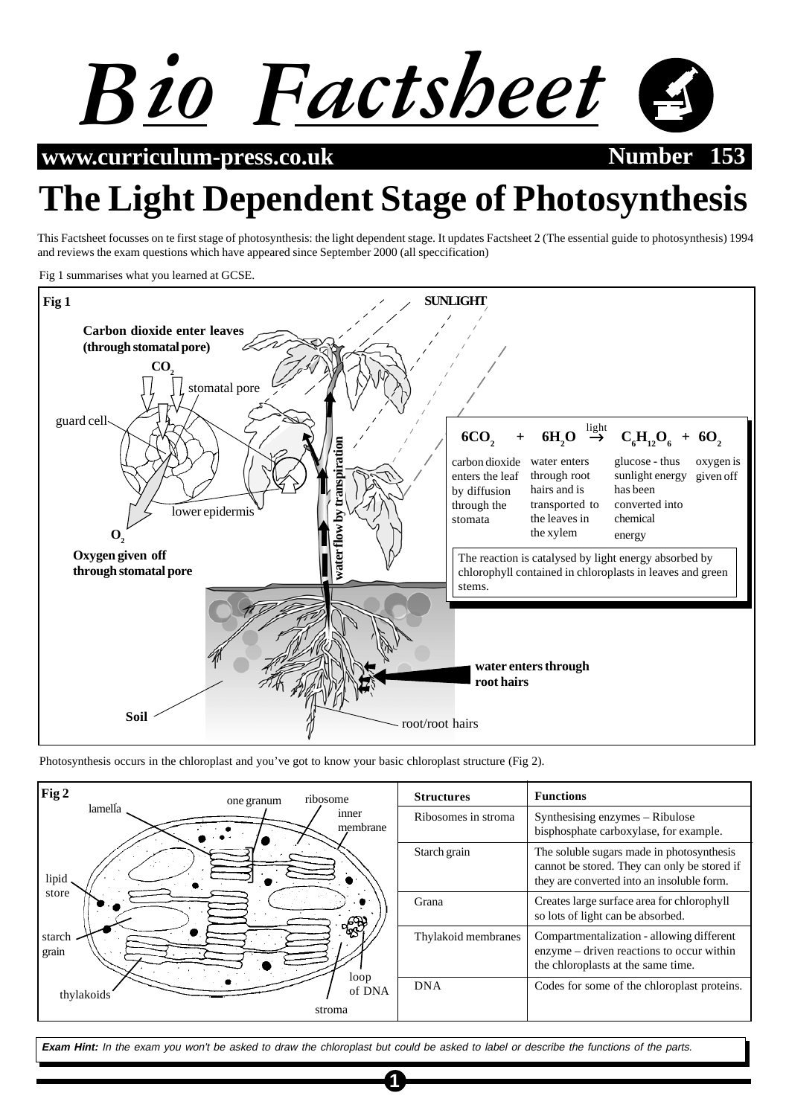

**www.curriculum-press.co.uk Number** 1533

# **The Light Dependent Stage of Photosynthesis**

This Factsheet focusses on te first stage of photosynthesis: the light dependent stage. It updates Factsheet 2 (The essential guide to photosynthesis) 1994 and reviews the exam questions which have appeared since September 2000 (all speccification)

Fig 1 summarises what you learned at GCSE.



Photosynthesis occurs in the chloroplast and you've got to know your basic chloroplast structure (Fig 2).

| Fig 2<br>ribosome<br>one granum                                                            | <b>Structures</b>   | <b>Functions</b>                                                                                                                        |
|--------------------------------------------------------------------------------------------|---------------------|-----------------------------------------------------------------------------------------------------------------------------------------|
| lamella<br>inner<br>membrane<br>lipid<br>store<br>ුද්ධ <b>)</b><br>starch<br>grain<br>loop | Ribosomes in stroma | Synthesising enzymes - Ribulose<br>bisphosphate carboxylase, for example.                                                               |
|                                                                                            | Starch grain        | The soluble sugars made in photosynthesis<br>cannot be stored. They can only be stored if<br>they are converted into an insoluble form. |
|                                                                                            | Grana               | Creates large surface area for chlorophyll<br>so lots of light can be absorbed.                                                         |
|                                                                                            | Thylakoid membranes | Compartmentalization - allowing different<br>enzyme – driven reactions to occur within<br>the chloroplasts at the same time.            |
| of DNA<br>thylakoids                                                                       | <b>DNA</b>          | Codes for some of the chloroplast proteins.                                                                                             |
| stroma                                                                                     |                     |                                                                                                                                         |

**Exam Hint:** In the exam you won't be asked to draw the chloroplast but could be asked to label or describe the functions of the parts.

**1**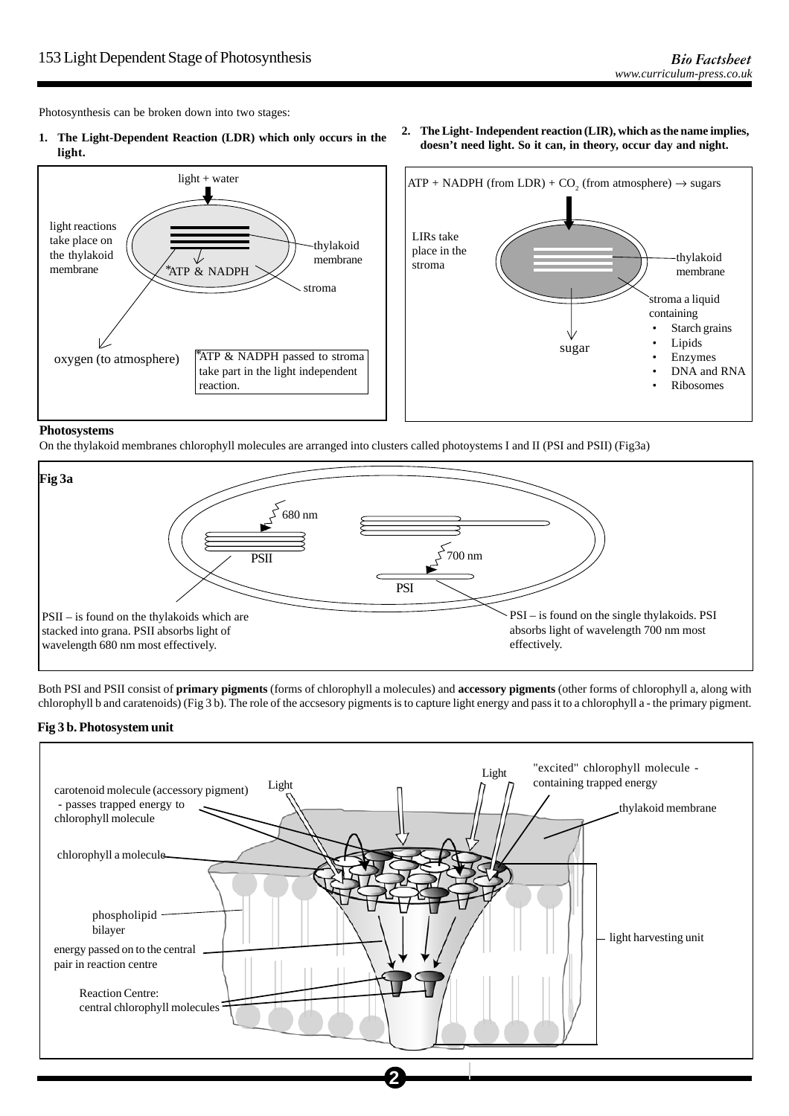Photosynthesis can be broken down into two stages:

**1. The Light-Dependent Reaction (LDR) which only occurs in the light.**



**2. The Light- Independent reaction (LIR), which as the name implies, doesn't need light. So it can, in theory, occur day and night.**



## **Photosystems**

On the thylakoid membranes chlorophyll molecules are arranged into clusters called photoystems I and II (PSI and PSII) (Fig3a)



Both PSI and PSII consist of **primary pigments** (forms of chlorophyll a molecules) and **accessory pigments** (other forms of chlorophyll a, along with chlorophyll b and caratenoids) (Fig 3 b). The role of the accsesory pigments is to capture light energy and pass it to a chlorophyll a - the primary pigment.

## **Fig 3 b. Photosystem unit**



**2**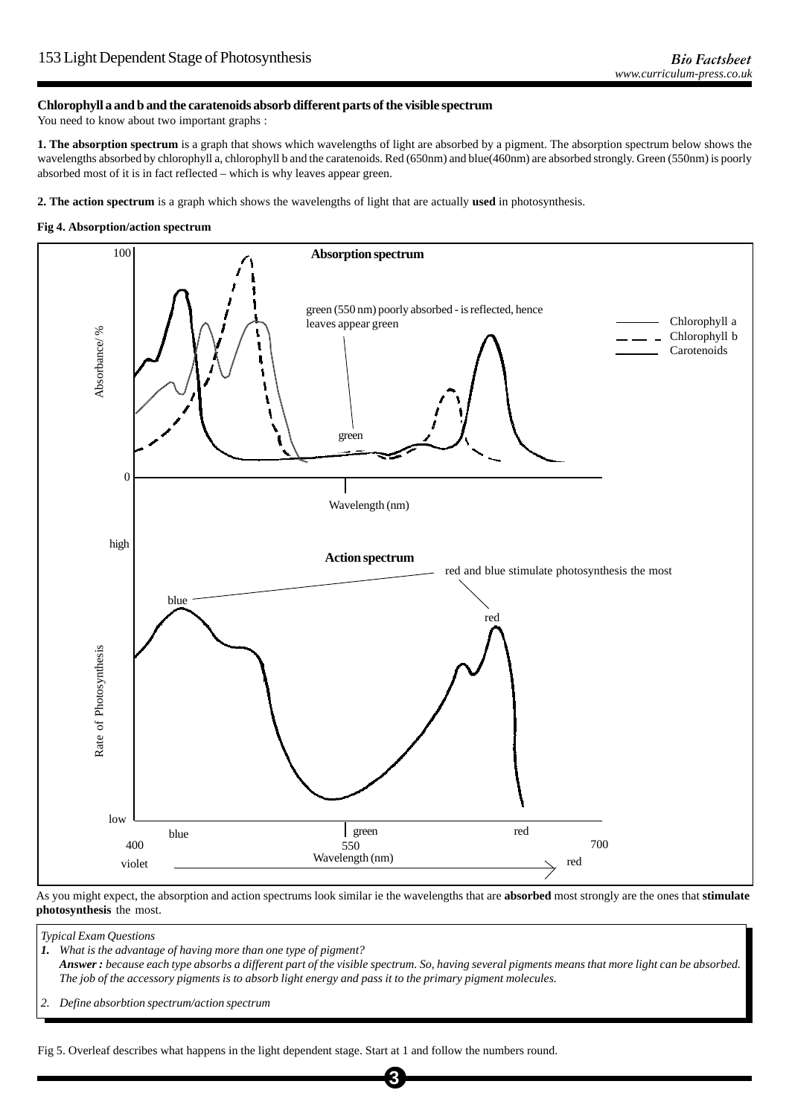## **Chlorophyll a and b and the caratenoids absorb different parts of the visible spectrum**

You need to know about two important graphs :

**1. The absorption spectrum** is a graph that shows which wavelengths of light are absorbed by a pigment. The absorption spectrum below shows the wavelengths absorbed by chlorophyll a, chlorophyll b and the caratenoids. Red (650nm) and blue(460nm) are absorbed strongly. Green (550nm) is poorly absorbed most of it is in fact reflected – which is why leaves appear green.

**2. The action spectrum** is a graph which shows the wavelengths of light that are actually **used** in photosynthesis.

#### **Fig 4. Absorption/action spectrum**



As you might expect, the absorption and action spectrums look similar ie the wavelengths that are **absorbed** most strongly are the ones that **stimulate photosynthesis** the most.

*Typical Exam Questions*

*1. What is the advantage of having more than one type of pigment? Answer : because each type absorbs a different part of the visible spectrum. So, having several pigments means that more light can be absorbed. The job of the accessory pigments is to absorb light energy and pass it to the primary pigment molecules.*

**3**

*2. Define absorbtion spectrum/action spectrum*

Fig 5. Overleaf describes what happens in the light dependent stage. Start at 1 and follow the numbers round.